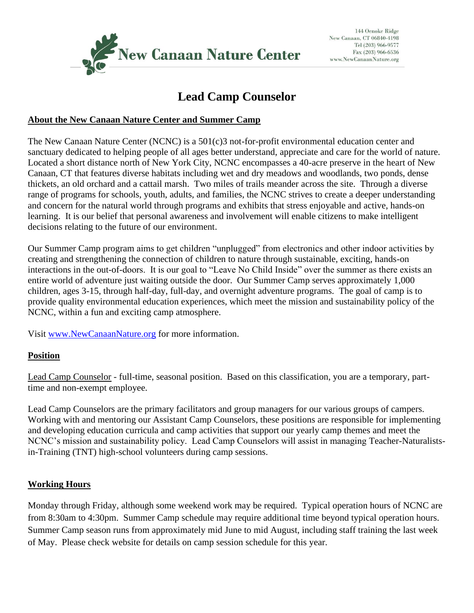

# **Lead Camp Counselor**

#### **About the New Canaan Nature Center and Summer Camp**

The New Canaan Nature Center (NCNC) is a 501(c)3 not-for-profit environmental education center and sanctuary dedicated to helping people of all ages better understand, appreciate and care for the world of nature. Located a short distance north of New York City, NCNC encompasses a 40-acre preserve in the heart of New Canaan, CT that features diverse habitats including wet and dry meadows and woodlands, two ponds, dense thickets, an old orchard and a cattail marsh. Two miles of trails meander across the site. Through a diverse range of programs for schools, youth, adults, and families, the NCNC strives to create a deeper understanding and concern for the natural world through programs and exhibits that stress enjoyable and active, hands-on learning. It is our belief that personal awareness and involvement will enable citizens to make intelligent decisions relating to the future of our environment.

Our Summer Camp program aims to get children "unplugged" from electronics and other indoor activities by creating and strengthening the connection of children to nature through sustainable, exciting, hands-on interactions in the out-of-doors. It is our goal to "Leave No Child Inside" over the summer as there exists an entire world of adventure just waiting outside the door. Our Summer Camp serves approximately 1,000 children, ages 3-15, through half-day, full-day, and overnight adventure programs. The goal of camp is to provide quality environmental education experiences, which meet the mission and sustainability policy of the NCNC, within a fun and exciting camp atmosphere.

Visit [www.NewCanaanNature.org](http://www.newcanaannature.org/) for more information.

#### **Position**

Lead Camp Counselor - full-time, seasonal position. Based on this classification, you are a temporary, parttime and non-exempt employee.

Lead Camp Counselors are the primary facilitators and group managers for our various groups of campers. Working with and mentoring our Assistant Camp Counselors, these positions are responsible for implementing and developing education curricula and camp activities that support our yearly camp themes and meet the NCNC's mission and sustainability policy. Lead Camp Counselors will assist in managing Teacher-Naturalistsin-Training (TNT) high-school volunteers during camp sessions.

#### **Working Hours**

Monday through Friday, although some weekend work may be required. Typical operation hours of NCNC are from 8:30am to 4:30pm. Summer Camp schedule may require additional time beyond typical operation hours. Summer Camp season runs from approximately mid June to mid August, including staff training the last week of May. Please check website for details on camp session schedule for this year.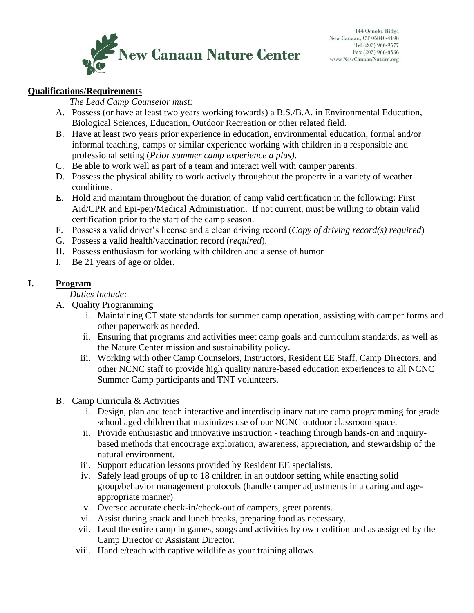

#### **Qualifications/Requirements**

*The Lead Camp Counselor must:*

- A. Possess (or have at least two years working towards) a B.S./B.A. in Environmental Education, Biological Sciences, Education, Outdoor Recreation or other related field.
- B. Have at least two years prior experience in education, environmental education, formal and/or informal teaching, camps or similar experience working with children in a responsible and professional setting (*Prior summer camp experience a plus)*.
- C. Be able to work well as part of a team and interact well with camper parents.
- D. Possess the physical ability to work actively throughout the property in a variety of weather conditions.
- E. Hold and maintain throughout the duration of camp valid certification in the following: First Aid/CPR and Epi-pen/Medical Administration. If not current, must be willing to obtain valid certification prior to the start of the camp season.
- F. Possess a valid driver's license and a clean driving record (*Copy of driving record(s) required*)
- G. Possess a valid health/vaccination record (*required*).
- H. Possess enthusiasm for working with children and a sense of humor
- I. Be 21 years of age or older.

### **I. Program**

## *Duties Include:*

- A. Quality Programming
	- i. Maintaining CT state standards for summer camp operation, assisting with camper forms and other paperwork as needed.
	- ii. Ensuring that programs and activities meet camp goals and curriculum standards, as well as the Nature Center mission and sustainability policy.
	- iii. Working with other Camp Counselors, Instructors, Resident EE Staff, Camp Directors, and other NCNC staff to provide high quality nature-based education experiences to all NCNC Summer Camp participants and TNT volunteers.
- B. Camp Curricula & Activities
	- i. Design, plan and teach interactive and interdisciplinary nature camp programming for grade school aged children that maximizes use of our NCNC outdoor classroom space.
	- ii. Provide enthusiastic and innovative instruction teaching through hands-on and inquirybased methods that encourage exploration, awareness, appreciation, and stewardship of the natural environment.
	- iii. Support education lessons provided by Resident EE specialists.
	- iv. Safely lead groups of up to 18 children in an outdoor setting while enacting solid group/behavior management protocols (handle camper adjustments in a caring and ageappropriate manner)
	- v. Oversee accurate check-in/check-out of campers, greet parents.
	- vi. Assist during snack and lunch breaks, preparing food as necessary.
	- vii. Lead the entire camp in games, songs and activities by own volition and as assigned by the Camp Director or Assistant Director.
	- viii. Handle/teach with captive wildlife as your training allows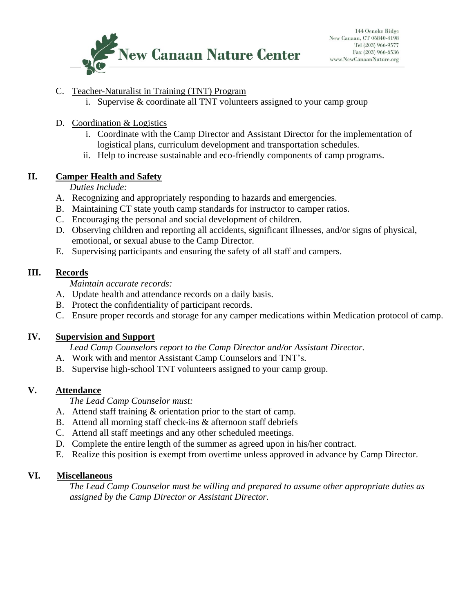

#### C. Teacher-Naturalist in Training (TNT) Program

- i. Supervise & coordinate all TNT volunteers assigned to your camp group
- D. Coordination & Logistics
	- i. Coordinate with the Camp Director and Assistant Director for the implementation of logistical plans, curriculum development and transportation schedules.
	- ii. Help to increase sustainable and eco-friendly components of camp programs.

#### **II. Camper Health and Safety**

*Duties Include:*

- A. Recognizing and appropriately responding to hazards and emergencies.
- B. Maintaining CT state youth camp standards for instructor to camper ratios.
- C. Encouraging the personal and social development of children.
- D. Observing children and reporting all accidents, significant illnesses, and/or signs of physical, emotional, or sexual abuse to the Camp Director.
- E. Supervising participants and ensuring the safety of all staff and campers.

#### **III. Records**

*Maintain accurate records:*

- A. Update health and attendance records on a daily basis.
- B. Protect the confidentiality of participant records.
- C. Ensure proper records and storage for any camper medications within Medication protocol of camp.

#### **IV. Supervision and Support**

*Lead Camp Counselors report to the Camp Director and/or Assistant Director.*

- A. Work with and mentor Assistant Camp Counselors and TNT's.
- B. Supervise high-school TNT volunteers assigned to your camp group.

#### **V. Attendance**

*The Lead Camp Counselor must:*

- A. Attend staff training & orientation prior to the start of camp.
- B. Attend all morning staff check-ins & afternoon staff debriefs
- C. Attend all staff meetings and any other scheduled meetings.
- D. Complete the entire length of the summer as agreed upon in his/her contract.
- E. Realize this position is exempt from overtime unless approved in advance by Camp Director.

#### **VI. Miscellaneous**

*The Lead Camp Counselor must be willing and prepared to assume other appropriate duties as assigned by the Camp Director or Assistant Director.*